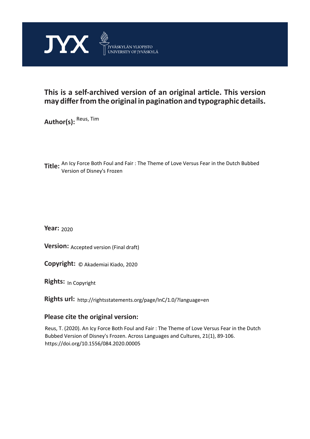

# **This is a self-archived version of an original article. This version may differ from the original in pagination and typographic details.**

**Author(s):**  Reus, Tim

**Title:**  An Icy Force Both Foul and Fair : The Theme of Love Versus Fear in the Dutch Bubbed Version of Disney's Frozen

**Year:**  2020

**Version: Accepted version (Final draft)** 

**Version:** Accepted version (Final draft)<br>**Copyright:** © Akademiai Kiado, 2020

**Rights:** In Copyright

**Rights url:**  http://rightsstatements.org/page/InC/1.0/?language=en

# **Please cite the original version:**

Reus, T. (2020). An Icy Force Both Foul and Fair : The Theme of Love Versus Fear in the Dutch Bubbed Version of Disney's Frozen. Across Languages and Cultures, 21(1), 89-106. https://doi.org/10.1556/084.2020.00005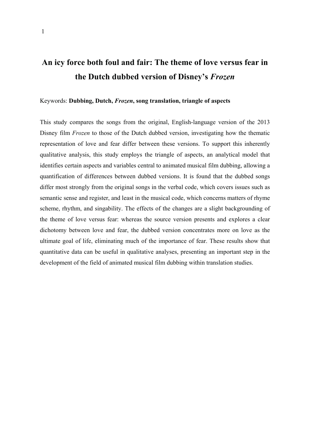# **An icy force both foul and fair: The theme of love versus fear in the Dutch dubbed version of Disney's** *Frozen*

# Keywords: **Dubbing, Dutch,** *Frozen***, song translation, triangle of aspects**

This study compares the songs from the original, English-language version of the 2013 Disney film *Frozen* to those of the Dutch dubbed version, investigating how the thematic representation of love and fear differ between these versions. To support this inherently qualitative analysis, this study employs the triangle of aspects, an analytical model that identifies certain aspects and variables central to animated musical film dubbing, allowing a quantification of differences between dubbed versions. It is found that the dubbed songs differ most strongly from the original songs in the verbal code, which covers issues such as semantic sense and register, and least in the musical code, which concerns matters of rhyme scheme, rhythm, and singability. The effects of the changes are a slight backgrounding of the theme of love versus fear: whereas the source version presents and explores a clear dichotomy between love and fear, the dubbed version concentrates more on love as the ultimate goal of life, eliminating much of the importance of fear. These results show that quantitative data can be useful in qualitative analyses, presenting an important step in the development of the field of animated musical film dubbing within translation studies.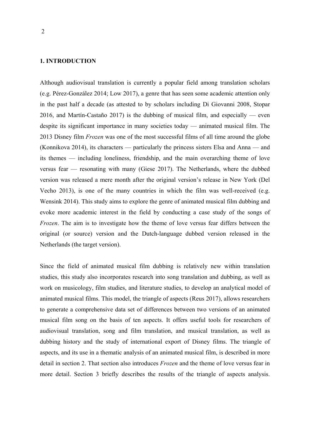# **1. INTRODUCTION**

Although audiovisual translation is currently a popular field among translation scholars (e.g. Pérez-González 2014; Low 2017), a genre that has seen some academic attention only in the past half a decade (as attested to by scholars including Di Giovanni 2008, Stopar 2016, and Martín-Castaño 2017) is the dubbing of musical film, and especially — even despite its significant importance in many societies today — animated musical film. The 2013 Disney film *Frozen* was one of the most successful films of all time around the globe (Konnikova 2014), its characters — particularly the princess sisters Elsa and Anna — and its themes — including loneliness, friendship, and the main overarching theme of love versus fear — resonating with many (Giese 2017). The Netherlands, where the dubbed version was released a mere month after the original version's release in New York (Del Vecho 2013), is one of the many countries in which the film was well-received (e.g. Wensink 2014). This study aims to explore the genre of animated musical film dubbing and evoke more academic interest in the field by conducting a case study of the songs of *Frozen*. The aim is to investigate how the theme of love versus fear differs between the original (or source) version and the Dutch-language dubbed version released in the Netherlands (the target version).

Since the field of animated musical film dubbing is relatively new within translation studies, this study also incorporates research into song translation and dubbing, as well as work on musicology, film studies, and literature studies, to develop an analytical model of animated musical films. This model, the triangle of aspects (Reus 2017), allows researchers to generate a comprehensive data set of differences between two versions of an animated musical film song on the basis of ten aspects. It offers useful tools for researchers of audiovisual translation, song and film translation, and musical translation, as well as dubbing history and the study of international export of Disney films. The triangle of aspects, and its use in a thematic analysis of an animated musical film, is described in more detail in section 2. That section also introduces *Frozen* and the theme of love versus fear in more detail. Section 3 briefly describes the results of the triangle of aspects analysis.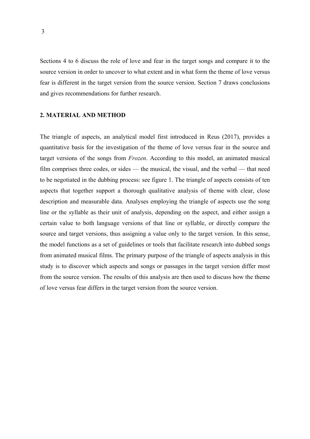Sections 4 to 6 discuss the role of love and fear in the target songs and compare it to the source version in order to uncover to what extent and in what form the theme of love versus fear is different in the target version from the source version. Section 7 draws conclusions and gives recommendations for further research.

#### **2. MATERIAL AND METHOD**

The triangle of aspects, an analytical model first introduced in Reus (2017), provides a quantitative basis for the investigation of the theme of love versus fear in the source and target versions of the songs from *Frozen*. According to this model, an animated musical film comprises three codes, or sides — the musical, the visual, and the verbal — that need to be negotiated in the dubbing process: see figure 1. The triangle of aspects consists of ten aspects that together support a thorough qualitative analysis of theme with clear, close description and measurable data. Analyses employing the triangle of aspects use the song line or the syllable as their unit of analysis, depending on the aspect, and either assign a certain value to both language versions of that line or syllable, or directly compare the source and target versions, thus assigning a value only to the target version. In this sense, the model functions as a set of guidelines or tools that facilitate research into dubbed songs from animated musical films. The primary purpose of the triangle of aspects analysis in this study is to discover which aspects and songs or passages in the target version differ most from the source version. The results of this analysis are then used to discuss how the theme of love versus fear differs in the target version from the source version.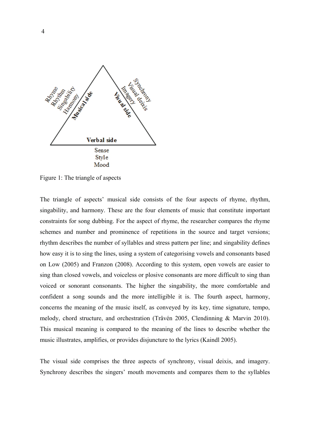

Figure 1: The triangle of aspects

The triangle of aspects' musical side consists of the four aspects of rhyme, rhythm, singability, and harmony. These are the four elements of music that constitute important constraints for song dubbing. For the aspect of rhyme, the researcher compares the rhyme schemes and number and prominence of repetitions in the source and target versions; rhythm describes the number of syllables and stress pattern per line; and singability defines how easy it is to sing the lines, using a system of categorising vowels and consonants based on Low (2005) and Franzon (2008). According to this system, open vowels are easier to sing than closed vowels, and voiceless or plosive consonants are more difficult to sing than voiced or sonorant consonants. The higher the singability, the more comfortable and confident a song sounds and the more intelligible it is. The fourth aspect, harmony, concerns the meaning of the music itself, as conveyed by its key, time signature, tempo, melody, chord structure, and orchestration (Tråvén 2005, Clendinning & Marvin 2010). This musical meaning is compared to the meaning of the lines to describe whether the music illustrates, amplifies, or provides disjuncture to the lyrics (Kaindl 2005).

The visual side comprises the three aspects of synchrony, visual deixis, and imagery. Synchrony describes the singers' mouth movements and compares them to the syllables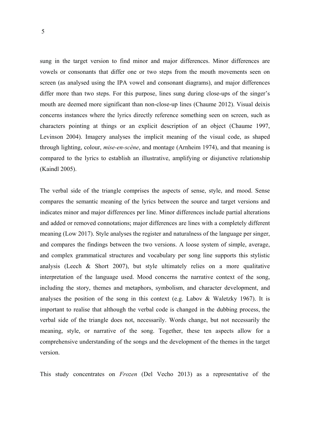sung in the target version to find minor and major differences. Minor differences are vowels or consonants that differ one or two steps from the mouth movements seen on screen (as analysed using the IPA vowel and consonant diagrams), and major differences differ more than two steps. For this purpose, lines sung during close-ups of the singer's mouth are deemed more significant than non-close-up lines (Chaume 2012). Visual deixis concerns instances where the lyrics directly reference something seen on screen, such as characters pointing at things or an explicit description of an object (Chaume 1997, Levinson 2004). Imagery analyses the implicit meaning of the visual code, as shaped through lighting, colour, *mise-en-scène*, and montage (Arnheim 1974), and that meaning is compared to the lyrics to establish an illustrative, amplifying or disjunctive relationship (Kaindl 2005).

The verbal side of the triangle comprises the aspects of sense, style, and mood. Sense compares the semantic meaning of the lyrics between the source and target versions and indicates minor and major differences per line. Minor differences include partial alterations and added or removed connotations; major differences are lines with a completely different meaning (Low 2017). Style analyses the register and naturalness of the language per singer, and compares the findings between the two versions. A loose system of simple, average, and complex grammatical structures and vocabulary per song line supports this stylistic analysis (Leech & Short 2007), but style ultimately relies on a more qualitative interpretation of the language used. Mood concerns the narrative context of the song, including the story, themes and metaphors, symbolism, and character development, and analyses the position of the song in this context (e.g. Labov & Waletzky 1967). It is important to realise that although the verbal code is changed in the dubbing process, the verbal side of the triangle does not, necessarily. Words change, but not necessarily the meaning, style, or narrative of the song. Together, these ten aspects allow for a comprehensive understanding of the songs and the development of the themes in the target version.

This study concentrates on *Frozen* (Del Vecho 2013) as a representative of the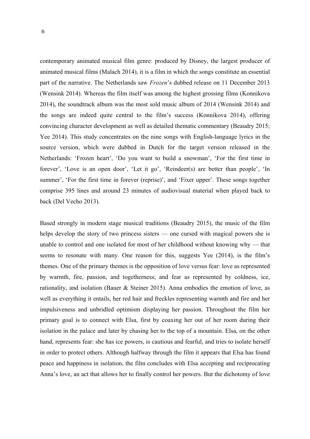contemporary animated musical film genre: produced by Disney, the largest producer of animated musical films (Malach 2014), it is a film in which the songs constitute an essential part of the narrative. The Netherlands saw *Frozen*'s dubbed release on 11 December 2013 (Wensink 2014). Whereas the film itself was among the highest grossing films (Konnikova 2014), the soundtrack album was the most sold music album of 2014 (Wensink 2014) and the songs are indeed quite central to the film's success (Konnikova 2014), offering convincing character development as well as detailed thematic commentary (Beaudry 2015; Yee 2014). This study concentrates on the nine songs with English-language lyrics in the source version, which were dubbed in Dutch for the target version released in the Netherlands: 'Frozen heart', 'Do you want to build a snowman', 'For the first time in forever', 'Love is an open door', 'Let it go', 'Reindeer(s) are better than people', 'In summer', 'For the first time in forever (reprise)', and 'Fixer upper'. These songs together comprise 395 lines and around 23 minutes of audiovisual material when played back to back (Del Vecho 2013).

Based strongly in modern stage musical traditions (Beaudry 2015), the music of the film helps develop the story of two princess sisters — one cursed with magical powers she is unable to control and one isolated for most of her childhood without knowing why — that seems to resonate with many. One reason for this, suggests Yee (2014), is the film's themes. One of the primary themes is the opposition of love versus fear: love as represented by warmth, fire, passion, and togetherness; and fear as represented by coldness, ice, rationality, and isolation (Bauer & Steiner 2015). Anna embodies the emotion of love, as well as everything it entails, her red hair and freckles representing warmth and fire and her impulsiveness and unbridled optimism displaying her passion. Throughout the film her primary goal is to connect with Elsa, first by coaxing her out of her room during their isolation in the palace and later by chasing her to the top of a mountain. Elsa, on the other hand, represents fear: she has ice powers, is cautious and fearful, and tries to isolate herself in order to protect others. Although halfway through the film it appears that Elsa has found peace and happiness in isolation, the film concludes with Elsa accepting and reciprocating Anna's love, an act that allows her to finally control her powers. But the dichotomy of love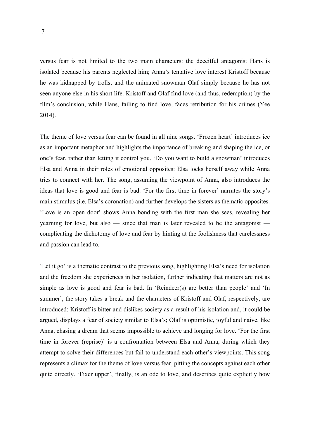versus fear is not limited to the two main characters: the deceitful antagonist Hans is isolated because his parents neglected him; Anna's tentative love interest Kristoff because he was kidnapped by trolls; and the animated snowman Olaf simply because he has not seen anyone else in his short life. Kristoff and Olaf find love (and thus, redemption) by the film's conclusion, while Hans, failing to find love, faces retribution for his crimes (Yee 2014).

The theme of love versus fear can be found in all nine songs. 'Frozen heart' introduces ice as an important metaphor and highlights the importance of breaking and shaping the ice, or one's fear, rather than letting it control you. 'Do you want to build a snowman' introduces Elsa and Anna in their roles of emotional opposites: Elsa locks herself away while Anna tries to connect with her. The song, assuming the viewpoint of Anna, also introduces the ideas that love is good and fear is bad. 'For the first time in forever' narrates the story's main stimulus (i.e. Elsa's coronation) and further develops the sisters as thematic opposites. 'Love is an open door' shows Anna bonding with the first man she sees, revealing her yearning for love, but also — since that man is later revealed to be the antagonist complicating the dichotomy of love and fear by hinting at the foolishness that carelessness and passion can lead to.

'Let it go' is a thematic contrast to the previous song, highlighting Elsa's need for isolation and the freedom she experiences in her isolation, further indicating that matters are not as simple as love is good and fear is bad. In 'Reindeer(s) are better than people' and 'In summer', the story takes a break and the characters of Kristoff and Olaf, respectively, are introduced: Kristoff is bitter and dislikes society as a result of his isolation and, it could be argued, displays a fear of society similar to Elsa's; Olaf is optimistic, joyful and naive, like Anna, chasing a dream that seems impossible to achieve and longing for love. 'For the first time in forever (reprise)' is a confrontation between Elsa and Anna, during which they attempt to solve their differences but fail to understand each other's viewpoints. This song represents a climax for the theme of love versus fear, pitting the concepts against each other quite directly. 'Fixer upper', finally, is an ode to love, and describes quite explicitly how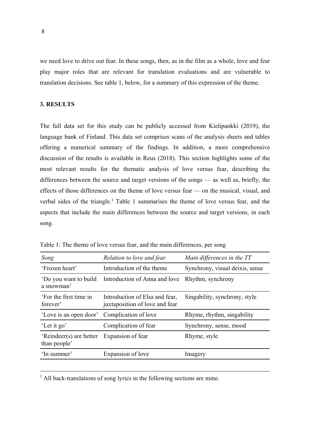we need love to drive out fear. In these songs, then, as in the film as a whole, love and fear play major roles that are relevant for translation evaluations and are vulnerable to translation decisions. See table 1, below, for a summary of this expression of the theme.

### **3. RESULTS**

The full data set for this study can be publicly accessed from Kielipankki (2019), the language bank of Finland. This data set comprises scans of the analysis sheets and tables offering a numerical summary of the findings. In addition, a more comprehensive discussion of the results is available in Reus (2018). This section highlights some of the most relevant results for the thematic analysis of love versus fear, describing the differences between the source and target versions of the songs — as well as, briefly, the effects of those differences on the theme of love versus fear — on the musical, visual, and verbal sides of the triangle.<sup>1</sup> Table 1 summarises the theme of love versus fear, and the aspects that include the main differences between the source and target versions, in each song.

| Song                                    | Relation to love and fear                                        | Main differences in the TT      |
|-----------------------------------------|------------------------------------------------------------------|---------------------------------|
| 'Frozen heart'                          | Introduction of the theme                                        | Synchrony, visual deixis, sense |
| 'Do you want to build<br>a snowman'     | Introduction of Anna and love                                    | Rhythm, synchrony               |
| 'For the first time in<br>forever'      | Introduction of Elsa and fear,<br>juxtaposition of love and fear | Singability, synchrony, style   |
| 'Love is an open door'                  | Complication of love                                             | Rhyme, rhythm, singability      |
| 'Let it go'                             | Complication of fear                                             | Synchrony, sense, mood          |
| 'Reindeer(s) are better<br>than people' | Expansion of fear                                                | Rhyme, style                    |
| 'In summer'                             | Expansion of love                                                | Imagery                         |
|                                         |                                                                  |                                 |

Table 1: The theme of love versus fear, and the main differences, per song

<sup>1</sup> All back-translations of song lyrics in the following sections are mine.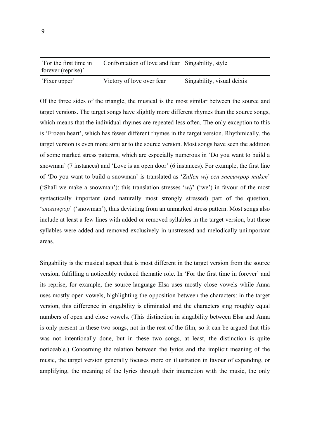| 'For the first time in<br>forever (reprise)' | Confrontation of love and fear Singability, style |                            |
|----------------------------------------------|---------------------------------------------------|----------------------------|
| 'Fixer upper'                                | Victory of love over fear                         | Singability, visual deixis |

Of the three sides of the triangle, the musical is the most similar between the source and target versions. The target songs have slightly more different rhymes than the source songs, which means that the individual rhymes are repeated less often. The only exception to this is 'Frozen heart', which has fewer different rhymes in the target version. Rhythmically, the target version is even more similar to the source version. Most songs have seen the addition of some marked stress patterns, which are especially numerous in 'Do you want to build a snowman' (7 instances) and 'Love is an open door' (6 instances). For example, the first line of 'Do you want to build a snowman' is translated as '*Zullen wij een sneeuwpop maken*' ('Shall we make a snowman'): this translation stresses '*wij*' ('we') in favour of the most syntactically important (and naturally most strongly stressed) part of the question, '*sneeuwpop*' ('snowman'), thus deviating from an unmarked stress pattern. Most songs also include at least a few lines with added or removed syllables in the target version, but these syllables were added and removed exclusively in unstressed and melodically unimportant areas.

Singability is the musical aspect that is most different in the target version from the source version, fulfilling a noticeably reduced thematic role. In 'For the first time in forever' and its reprise, for example, the source-language Elsa uses mostly close vowels while Anna uses mostly open vowels, highlighting the opposition between the characters: in the target version, this difference in singability is eliminated and the characters sing roughly equal numbers of open and close vowels. (This distinction in singability between Elsa and Anna is only present in these two songs, not in the rest of the film, so it can be argued that this was not intentionally done, but in these two songs, at least, the distinction is quite noticeable.) Concerning the relation between the lyrics and the implicit meaning of the music, the target version generally focuses more on illustration in favour of expanding, or amplifying, the meaning of the lyrics through their interaction with the music, the only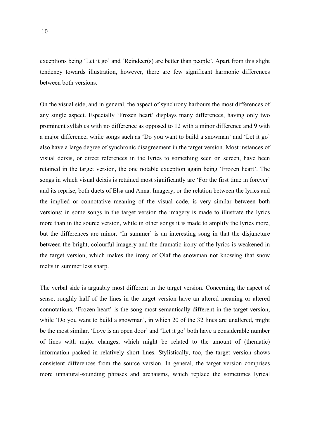exceptions being 'Let it go' and 'Reindeer(s) are better than people'. Apart from this slight tendency towards illustration, however, there are few significant harmonic differences between both versions.

On the visual side, and in general, the aspect of synchrony harbours the most differences of any single aspect. Especially 'Frozen heart' displays many differences, having only two prominent syllables with no difference as opposed to 12 with a minor difference and 9 with a major difference, while songs such as 'Do you want to build a snowman' and 'Let it go' also have a large degree of synchronic disagreement in the target version. Most instances of visual deixis, or direct references in the lyrics to something seen on screen, have been retained in the target version, the one notable exception again being 'Frozen heart'. The songs in which visual deixis is retained most significantly are 'For the first time in forever' and its reprise, both duets of Elsa and Anna. Imagery, or the relation between the lyrics and the implied or connotative meaning of the visual code, is very similar between both versions: in some songs in the target version the imagery is made to illustrate the lyrics more than in the source version, while in other songs it is made to amplify the lyrics more, but the differences are minor. 'In summer' is an interesting song in that the disjuncture between the bright, colourful imagery and the dramatic irony of the lyrics is weakened in the target version, which makes the irony of Olaf the snowman not knowing that snow melts in summer less sharp.

The verbal side is arguably most different in the target version. Concerning the aspect of sense, roughly half of the lines in the target version have an altered meaning or altered connotations. 'Frozen heart' is the song most semantically different in the target version, while 'Do you want to build a snowman', in which 20 of the 32 lines are unaltered, might be the most similar. 'Love is an open door' and 'Let it go' both have a considerable number of lines with major changes, which might be related to the amount of (thematic) information packed in relatively short lines. Stylistically, too, the target version shows consistent differences from the source version. In general, the target version comprises more unnatural-sounding phrases and archaisms, which replace the sometimes lyrical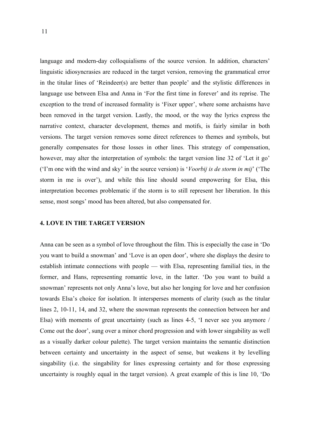language and modern-day colloquialisms of the source version. In addition, characters' linguistic idiosyncrasies are reduced in the target version, removing the grammatical error in the titular lines of 'Reindeer(s) are better than people' and the stylistic differences in language use between Elsa and Anna in 'For the first time in forever' and its reprise. The exception to the trend of increased formality is 'Fixer upper', where some archaisms have been removed in the target version. Lastly, the mood, or the way the lyrics express the narrative context, character development, themes and motifs, is fairly similar in both versions. The target version removes some direct references to themes and symbols, but generally compensates for those losses in other lines. This strategy of compensation, however, may alter the interpretation of symbols: the target version line 32 of 'Let it go' ('I'm one with the wind and sky' in the source version) is '*Voorbij is de storm in mij*' ('The storm in me is over'), and while this line should sound empowering for Elsa, this interpretation becomes problematic if the storm is to still represent her liberation. In this sense, most songs' mood has been altered, but also compensated for.

#### **4. LOVE IN THE TARGET VERSION**

Anna can be seen as a symbol of love throughout the film. This is especially the case in 'Do you want to build a snowman' and 'Love is an open door', where she displays the desire to establish intimate connections with people — with Elsa, representing familial ties, in the former, and Hans, representing romantic love, in the latter. 'Do you want to build a snowman' represents not only Anna's love, but also her longing for love and her confusion towards Elsa's choice for isolation. It intersperses moments of clarity (such as the titular lines 2, 10-11, 14, and 32, where the snowman represents the connection between her and Elsa) with moments of great uncertainty (such as lines 4-5, 'I never see you anymore / Come out the door', sung over a minor chord progression and with lower singability as well as a visually darker colour palette). The target version maintains the semantic distinction between certainty and uncertainty in the aspect of sense, but weakens it by levelling singability (i.e. the singability for lines expressing certainty and for those expressing uncertainty is roughly equal in the target version). A great example of this is line 10, 'Do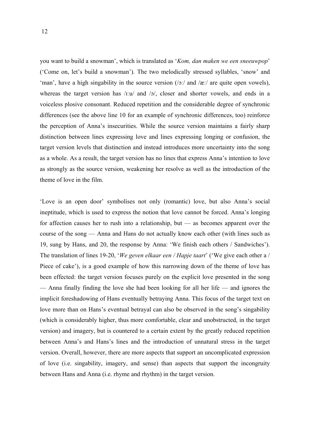you want to build a snowman', which is translated as '*Kom, dan maken we een sneeuwpop*' ('Come on, let's build a snowman'). The two melodically stressed syllables, 'snow' and 'man', have a high singability in the source version  $(\frac{\delta}{a})$  and  $\frac{\delta}{a}$  are quite open vowels), whereas the target version has /ɪːu/ and /ɔ/, closer and shorter vowels, and ends in a voiceless plosive consonant. Reduced repetition and the considerable degree of synchronic differences (see the above line 10 for an example of synchronic differences, too) reinforce the perception of Anna's insecurities. While the source version maintains a fairly sharp distinction between lines expressing love and lines expressing longing or confusion, the target version levels that distinction and instead introduces more uncertainty into the song as a whole. As a result, the target version has no lines that express Anna's intention to love as strongly as the source version, weakening her resolve as well as the introduction of the theme of love in the film.

'Love is an open door' symbolises not only (romantic) love, but also Anna's social ineptitude, which is used to express the notion that love cannot be forced. Anna's longing for affection causes her to rush into a relationship, but — as becomes apparent over the course of the song — Anna and Hans do not actually know each other (with lines such as 19, sung by Hans, and 20, the response by Anna: 'We finish each others / Sandwiches'). The translation of lines 19-20, '*We geven elkaar een / Hapje taart*' ('We give each other a / Piece of cake'), is a good example of how this narrowing down of the theme of love has been effected: the target version focuses purely on the explicit love presented in the song — Anna finally finding the love she had been looking for all her life — and ignores the implicit foreshadowing of Hans eventually betraying Anna. This focus of the target text on love more than on Hans's eventual betrayal can also be observed in the song's singability (which is considerably higher, thus more comfortable, clear and unobstructed, in the target version) and imagery, but is countered to a certain extent by the greatly reduced repetition between Anna's and Hans's lines and the introduction of unnatural stress in the target version. Overall, however, there are more aspects that support an uncomplicated expression of love (i.e. singability, imagery, and sense) than aspects that support the incongruity between Hans and Anna (i.e. rhyme and rhythm) in the target version.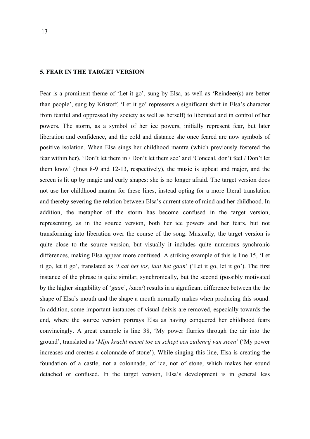#### **5. FEAR IN THE TARGET VERSION**

Fear is a prominent theme of 'Let it go', sung by Elsa, as well as 'Reindeer(s) are better than people', sung by Kristoff. 'Let it go' represents a significant shift in Elsa's character from fearful and oppressed (by society as well as herself) to liberated and in control of her powers. The storm, as a symbol of her ice powers, initially represent fear, but later liberation and confidence, and the cold and distance she once feared are now symbols of positive isolation. When Elsa sings her childhood mantra (which previously fostered the fear within her), 'Don't let them in / Don't let them see' and 'Conceal, don't feel / Don't let them know' (lines 8-9 and 12-13, respectively), the music is upbeat and major, and the screen is lit up by magic and curly shapes: she is no longer afraid. The target version does not use her childhood mantra for these lines, instead opting for a more literal translation and thereby severing the relation between Elsa's current state of mind and her childhood. In addition, the metaphor of the storm has become confused in the target version, representing, as in the source version, both her ice powers and her fears, but not transforming into liberation over the course of the song. Musically, the target version is quite close to the source version, but visually it includes quite numerous synchronic differences, making Elsa appear more confused. A striking example of this is line 15, 'Let it go, let it go', translated as '*Laat het los, laat het gaan*' ('Let it go, let it go'). The first instance of the phrase is quite similar, synchronically, but the second (possibly motivated by the higher singability of '*gaan*', /xaːn/) results in a significant difference between the the shape of Elsa's mouth and the shape a mouth normally makes when producing this sound. In addition, some important instances of visual deixis are removed, especially towards the end, where the source version portrays Elsa as having conquered her childhood fears convincingly. A great example is line 38, 'My power flurries through the air into the ground', translated as '*Mijn kracht neemt toe en schept een zuilenrij van steen*' ('My power increases and creates a colonnade of stone'). While singing this line, Elsa is creating the foundation of a castle, not a colonnade, of ice, not of stone, which makes her sound detached or confused. In the target version, Elsa's development is in general less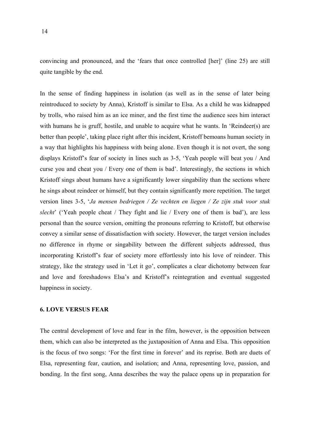convincing and pronounced, and the 'fears that once controlled [her]' (line 25) are still quite tangible by the end.

In the sense of finding happiness in isolation (as well as in the sense of later being reintroduced to society by Anna), Kristoff is similar to Elsa. As a child he was kidnapped by trolls, who raised him as an ice miner, and the first time the audience sees him interact with humans he is gruff, hostile, and unable to acquire what he wants. In 'Reindeer(s) are better than people', taking place right after this incident, Kristoff bemoans human society in a way that highlights his happiness with being alone. Even though it is not overt, the song displays Kristoff's fear of society in lines such as 3-5, 'Yeah people will beat you / And curse you and cheat you / Every one of them is bad'. Interestingly, the sections in which Kristoff sings about humans have a significantly lower singability than the sections where he sings about reindeer or himself, but they contain significantly more repetition. The target version lines 3-5, '*Ja mensen bedriegen / Ze vechten en liegen / Ze zijn stuk voor stuk slecht*' ('Yeah people cheat / They fight and lie / Every one of them is bad'), are less personal than the source version, omitting the pronouns referring to Kristoff, but otherwise convey a similar sense of dissatisfaction with society. However, the target version includes no difference in rhyme or singability between the different subjects addressed, thus incorporating Kristoff's fear of society more effortlessly into his love of reindeer. This strategy, like the strategy used in 'Let it go', complicates a clear dichotomy between fear and love and foreshadows Elsa's and Kristoff's reintegration and eventual suggested happiness in society.

#### **6. LOVE VERSUS FEAR**

The central development of love and fear in the film, however, is the opposition between them, which can also be interpreted as the juxtaposition of Anna and Elsa. This opposition is the focus of two songs: 'For the first time in forever' and its reprise. Both are duets of Elsa, representing fear, caution, and isolation; and Anna, representing love, passion, and bonding. In the first song, Anna describes the way the palace opens up in preparation for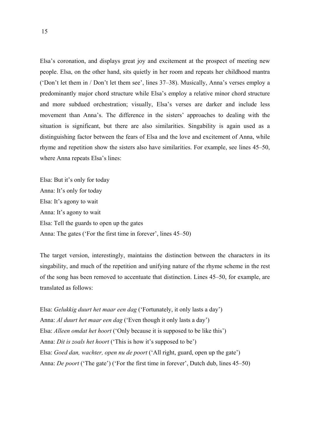Elsa's coronation, and displays great joy and excitement at the prospect of meeting new people. Elsa, on the other hand, sits quietly in her room and repeats her childhood mantra ('Don't let them in / Don't let them see', lines 37–38). Musically, Anna's verses employ a predominantly major chord structure while Elsa's employ a relative minor chord structure and more subdued orchestration; visually, Elsa's verses are darker and include less movement than Anna's. The difference in the sisters' approaches to dealing with the situation is significant, but there are also similarities. Singability is again used as a distinguishing factor between the fears of Elsa and the love and excitement of Anna, while rhyme and repetition show the sisters also have similarities. For example, see lines 45–50, where Anna repeats Elsa's lines:

Elsa: But it's only for today Anna: It's only for today Elsa: It's agony to wait Anna: It's agony to wait Elsa: Tell the guards to open up the gates Anna: The gates ('For the first time in forever', lines 45–50)

The target version, interestingly, maintains the distinction between the characters in its singability, and much of the repetition and unifying nature of the rhyme scheme in the rest of the song has been removed to accentuate that distinction. Lines 45–50, for example, are translated as follows:

Elsa: *Gelukkig duurt het maar een dag* ('Fortunately, it only lasts a day') Anna: *Al duurt het maar een dag* ('Even though it only lasts a day') Elsa: *Alleen omdat het hoort* ('Only because it is supposed to be like this') Anna: *Dit is zoals het hoort* ('This is how it's supposed to be') Elsa: *Goed dan, wachter, open nu de poort* ('All right, guard, open up the gate') Anna: *De poort* ('The gate') ('For the first time in forever', Dutch dub, lines 45–50)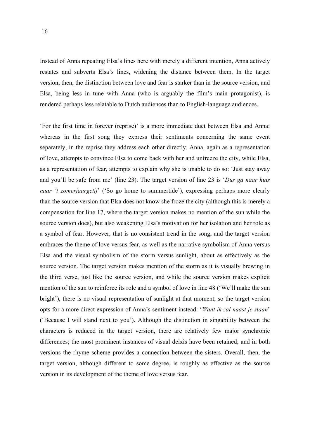Instead of Anna repeating Elsa's lines here with merely a different intention, Anna actively restates and subverts Elsa's lines, widening the distance between them. In the target version, then, the distinction between love and fear is starker than in the source version, and Elsa, being less in tune with Anna (who is arguably the film's main protagonist), is rendered perhaps less relatable to Dutch audiences than to English-language audiences.

'For the first time in forever (reprise)' is a more immediate duet between Elsa and Anna: whereas in the first song they express their sentiments concerning the same event separately, in the reprise they address each other directly. Anna, again as a representation of love, attempts to convince Elsa to come back with her and unfreeze the city, while Elsa, as a representation of fear, attempts to explain why she is unable to do so: 'Just stay away and you'll be safe from me' (line 23). The target version of line 23 is '*Dus ga naar huis naar 't zomerjaargetij*' ('So go home to summertide'), expressing perhaps more clearly than the source version that Elsa does not know she froze the city (although this is merely a compensation for line 17, where the target version makes no mention of the sun while the source version does), but also weakening Elsa's motivation for her isolation and her role as a symbol of fear. However, that is no consistent trend in the song, and the target version embraces the theme of love versus fear, as well as the narrative symbolism of Anna versus Elsa and the visual symbolism of the storm versus sunlight, about as effectively as the source version. The target version makes mention of the storm as it is visually brewing in the third verse, just like the source version, and while the source version makes explicit mention of the sun to reinforce its role and a symbol of love in line 48 ('We'll make the sun bright'), there is no visual representation of sunlight at that moment, so the target version opts for a more direct expression of Anna's sentiment instead: '*Want ik zal naast je staan*' ('Because I will stand next to you'). Although the distinction in singability between the characters is reduced in the target version, there are relatively few major synchronic differences; the most prominent instances of visual deixis have been retained; and in both versions the rhyme scheme provides a connection between the sisters. Overall, then, the target version, although different to some degree, is roughly as effective as the source version in its development of the theme of love versus fear.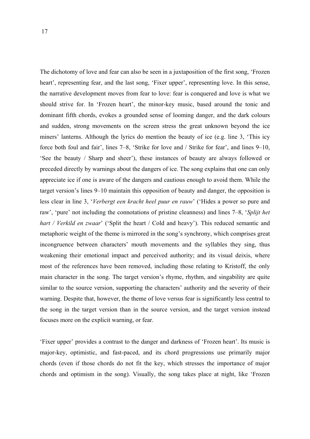The dichotomy of love and fear can also be seen in a juxtaposition of the first song, 'Frozen heart', representing fear, and the last song, 'Fixer upper', representing love. In this sense, the narrative development moves from fear to love: fear is conquered and love is what we should strive for. In 'Frozen heart', the minor-key music, based around the tonic and dominant fifth chords, evokes a grounded sense of looming danger, and the dark colours and sudden, strong movements on the screen stress the great unknown beyond the ice miners' lanterns. Although the lyrics do mention the beauty of ice (e.g. line 3, 'This icy force both foul and fair', lines 7–8, 'Strike for love and / Strike for fear', and lines 9–10, 'See the beauty / Sharp and sheer'), these instances of beauty are always followed or preceded directly by warnings about the dangers of ice. The song explains that one can only appreciate ice if one is aware of the dangers and cautious enough to avoid them. While the target version's lines 9–10 maintain this opposition of beauty and danger, the opposition is less clear in line 3, '*Verbergt een kracht heel puur en rauw*' ('Hides a power so pure and raw', 'pure' not including the connotations of pristine cleanness) and lines 7–8, '*Splijt het hart / Verkild en zwaar*' ('Split the heart / Cold and heavy'). This reduced semantic and metaphoric weight of the theme is mirrored in the song's synchrony, which comprises great incongruence between characters' mouth movements and the syllables they sing, thus weakening their emotional impact and perceived authority; and its visual deixis, where most of the references have been removed, including those relating to Kristoff, the only main character in the song. The target version's rhyme, rhythm, and singability are quite similar to the source version, supporting the characters' authority and the severity of their warning. Despite that, however, the theme of love versus fear is significantly less central to the song in the target version than in the source version, and the target version instead focuses more on the explicit warning, or fear.

'Fixer upper' provides a contrast to the danger and darkness of 'Frozen heart'. Its music is major-key, optimistic, and fast-paced, and its chord progressions use primarily major chords (even if those chords do not fit the key, which stresses the importance of major chords and optimism in the song). Visually, the song takes place at night, like 'Frozen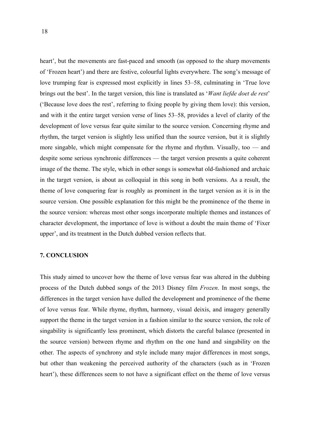heart', but the movements are fast-paced and smooth (as opposed to the sharp movements of 'Frozen heart') and there are festive, colourful lights everywhere. The song's message of love trumping fear is expressed most explicitly in lines 53–58, culminating in 'True love brings out the best'. In the target version, this line is translated as '*Want liefde doet de rest*' ('Because love does the rest', referring to fixing people by giving them love): this version, and with it the entire target version verse of lines 53–58, provides a level of clarity of the development of love versus fear quite similar to the source version. Concerning rhyme and rhythm, the target version is slightly less unified than the source version, but it is slightly more singable, which might compensate for the rhyme and rhythm. Visually, too — and despite some serious synchronic differences — the target version presents a quite coherent image of the theme. The style, which in other songs is somewhat old-fashioned and archaic in the target version, is about as colloquial in this song in both versions. As a result, the theme of love conquering fear is roughly as prominent in the target version as it is in the source version. One possible explanation for this might be the prominence of the theme in the source version: whereas most other songs incorporate multiple themes and instances of character development, the importance of love is without a doubt the main theme of 'Fixer upper', and its treatment in the Dutch dubbed version reflects that.

#### **7. CONCLUSION**

This study aimed to uncover how the theme of love versus fear was altered in the dubbing process of the Dutch dubbed songs of the 2013 Disney film *Frozen*. In most songs, the differences in the target version have dulled the development and prominence of the theme of love versus fear. While rhyme, rhythm, harmony, visual deixis, and imagery generally support the theme in the target version in a fashion similar to the source version, the role of singability is significantly less prominent, which distorts the careful balance (presented in the source version) between rhyme and rhythm on the one hand and singability on the other. The aspects of synchrony and style include many major differences in most songs, but other than weakening the perceived authority of the characters (such as in 'Frozen heart'), these differences seem to not have a significant effect on the theme of love versus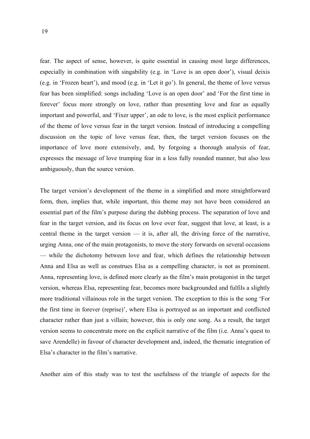fear. The aspect of sense, however, is quite essential in causing most large differences, especially in combination with singability (e.g. in 'Love is an open door'), visual deixis (e.g. in 'Frozen heart'), and mood (e.g. in 'Let it go'). In general, the theme of love versus fear has been simplified: songs including 'Love is an open door' and 'For the first time in forever' focus more strongly on love, rather than presenting love and fear as equally important and powerful, and 'Fixer upper', an ode to love, is the most explicit performance of the theme of love versus fear in the target version. Instead of introducing a compelling discussion on the topic of love versus fear, then, the target version focuses on the importance of love more extensively, and, by forgoing a thorough analysis of fear, expresses the message of love trumping fear in a less fully rounded manner, but also less ambiguously, than the source version.

The target version's development of the theme in a simplified and more straightforward form, then, implies that, while important, this theme may not have been considered an essential part of the film's purpose during the dubbing process. The separation of love and fear in the target version, and its focus on love over fear, suggest that love, at least, is a central theme in the target version — it is, after all, the driving force of the narrative, urging Anna, one of the main protagonists, to move the story forwards on several occasions — while the dichotomy between love and fear, which defines the relationship between Anna and Elsa as well as construes Elsa as a compelling character, is not as prominent. Anna, representing love, is defined more clearly as the film's main protagonist in the target version, whereas Elsa, representing fear, becomes more backgrounded and fulfils a slightly more traditional villainous role in the target version. The exception to this is the song 'For the first time in forever (reprise)', where Elsa is portrayed as an important and conflicted character rather than just a villain; however, this is only one song. As a result, the target version seems to concentrate more on the explicit narrative of the film (i.e. Anna's quest to save Arendelle) in favour of character development and, indeed, the thematic integration of Elsa's character in the film's narrative.

Another aim of this study was to test the usefulness of the triangle of aspects for the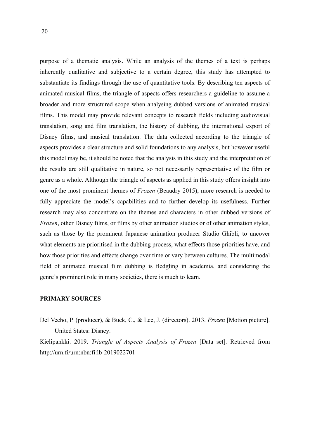purpose of a thematic analysis. While an analysis of the themes of a text is perhaps inherently qualitative and subjective to a certain degree, this study has attempted to substantiate its findings through the use of quantitative tools. By describing ten aspects of animated musical films, the triangle of aspects offers researchers a guideline to assume a broader and more structured scope when analysing dubbed versions of animated musical films. This model may provide relevant concepts to research fields including audiovisual translation, song and film translation, the history of dubbing, the international export of Disney films, and musical translation. The data collected according to the triangle of aspects provides a clear structure and solid foundations to any analysis, but however useful this model may be, it should be noted that the analysis in this study and the interpretation of the results are still qualitative in nature, so not necessarily representative of the film or genre as a whole. Although the triangle of aspects as applied in this study offers insight into one of the most prominent themes of *Frozen* (Beaudry 2015), more research is needed to fully appreciate the model's capabilities and to further develop its usefulness. Further research may also concentrate on the themes and characters in other dubbed versions of *Frozen*, other Disney films, or films by other animation studios or of other animation styles, such as those by the prominent Japanese animation producer Studio Ghibli, to uncover what elements are prioritised in the dubbing process, what effects those priorities have, and how those priorities and effects change over time or vary between cultures. The multimodal field of animated musical film dubbing is fledgling in academia, and considering the genre's prominent role in many societies, there is much to learn.

#### **PRIMARY SOURCES**

Del Vecho, P. (producer), & Buck, C., & Lee, J. (directors). 2013. *Frozen* [Motion picture]. United States: Disney.

Kielipankki. 2019. *Triangle of Aspects Analysis of Frozen* [Data set]. Retrieved from http://urn.fi/urn:nbn:fi:lb-2019022701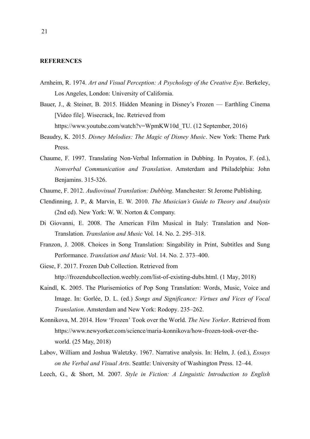# **REFERENCES**

- Arnheim, R. 1974. *Art and Visual Perception: A Psychology of the Creative Eye*. Berkeley, Los Angeles, London: University of California.
- Bauer, J., & Steiner, B. 2015. Hidden Meaning in Disney's Frozen Earthling Cinema [Video file]. Wisecrack, Inc. Retrieved from

https://www.youtube.com/watch?v=WpmKW10d\_TU. (12 September, 2016)

- Beaudry, K. 2015. *Disney Melodies: The Magic of Disney Music*. New York: Theme Park Press.
- Chaume, F. 1997. Translating Non-Verbal Information in Dubbing. In Poyatos, F. (ed.), *Nonverbal Communication and Translation*. Amsterdam and Philadelphia: John Benjamins. 315-326.
- Chaume, F. 2012. *Audiovisual Translation: Dubbing*. Manchester: St Jerome Publishing.
- Clendinning, J. P., & Marvin, E. W. 2010. *The Musician's Guide to Theory and Analysis* (2nd ed). New York: W. W. Norton & Company.
- Di Giovanni, E. 2008. The American Film Musical in Italy: Translation and Non-Translation. *Translation and Music* Vol. 14. No. 2. 295–318.
- Franzon, J. 2008. Choices in Song Translation: Singability in Print, Subtitles and Sung Performance. *Translation and Music* Vol. 14. No. 2. 373–400.
- Giese, F. 2017. Frozen Dub Collection. Retrieved from http://frozendubcollection.weebly.com/list-of-existing-dubs.html. (1 May, 2018)
- Kaindl, K. 2005. The Plurisemiotics of Pop Song Translation: Words, Music, Voice and Image. In: Gorlée, D. L. (ed.) *Songs and Significance: Virtues and Vices of Vocal Translation*. Amsterdam and New York: Rodopy. 235–262.
- Konnikova, M. 2014. How 'Frozen' Took over the World. *The New Yorker*. Retrieved from https://www.newyorker.com/science/maria-konnikova/how-frozen-took-over-theworld. (25 May, 2018)
- Labov, William and Joshua Waletzky. 1967. Narrative analysis. In: Helm, J. (ed.), *Essays on the Verbal and Visual Arts*. Seattle: University of Washington Press. 12–44.
- Leech, G., & Short, M. 2007. *Style in Fiction: A Linguistic Introduction to English*